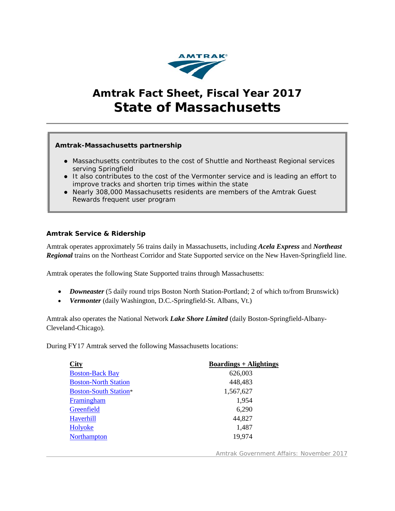

# **Amtrak Fact Sheet, Fiscal Year 2017 State of Massachusetts**

# **Amtrak-Massachusetts partnership**

- Massachusetts contributes to the cost of *Shuttle* and *Northeast Regional* services serving Springfield
- It also contributes to the cost of the *Vermonter* service and is leading an effort to improve tracks and shorten trip times within the state
- Nearly 308,000 Massachusetts residents are members of the Amtrak Guest Rewards frequent user program

# **Amtrak Service & Ridership**

Amtrak operates approximately 56 trains daily in Massachusetts, including *Acela Express* and *Northeast Regional* trains on the Northeast Corridor and State Supported service on the New Haven-Springfield line.

Amtrak operates the following State Supported trains through Massachusetts:

- *Downeaster* (5 daily round trips Boston North Station-Portland; 2 of which to/from Brunswick)
- *Vermonter* (daily Washington, D.C.-Springfield-St. Albans, Vt.)

Amtrak also operates the National Network *Lake Shore Limited* (daily Boston-Springfield-Albany-Cleveland-Chicago).

During FY17 Amtrak served the following Massachusetts locations:

| <b>City</b>                  | $Boardings + Alightings$ |
|------------------------------|--------------------------|
| <b>Boston-Back Bay</b>       | 626,003                  |
| <b>Boston-North Station</b>  | 448,483                  |
| <b>Boston-South Station*</b> | 1,567,627                |
| Framingham                   | 1,954                    |
| Greenfield                   | 6,290                    |
| Haverhill                    | 44,827                   |
| Holyoke                      | 1,487                    |
| <b>Northampton</b>           | 19,974                   |
|                              |                          |

Amtrak Government Affairs: November 2017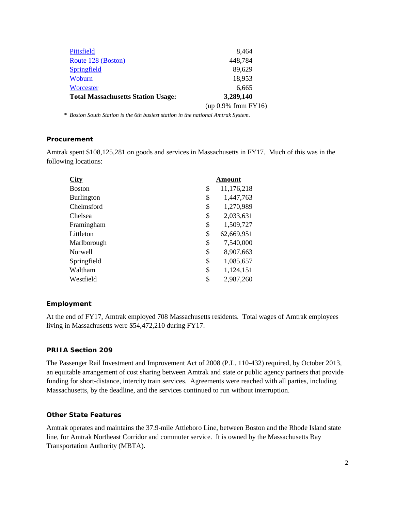|                                           | $(up 0.9\% from FY16)$ |  |
|-------------------------------------------|------------------------|--|
| <b>Total Massachusetts Station Usage:</b> | 3,289,140              |  |
| Worcester                                 | 6,665                  |  |
| Woburn                                    | 18,953                 |  |
| Springfield                               | 89,629                 |  |
| Route 128 (Boston)                        | 448,784                |  |
| Pittsfield                                | 8,464                  |  |
|                                           |                        |  |

*\* Boston South Station is the 6th busiest station in the national Amtrak System.*

#### **Procurement**

Amtrak spent \$108,125,281 on goods and services in Massachusetts in FY17. Much of this was in the following locations:

| City           | Amount           |
|----------------|------------------|
| <b>Boston</b>  | \$<br>11,176,218 |
| Burlington     | \$<br>1,447,763  |
| Chelmsford     | \$<br>1,270,989  |
| Chelsea        | \$<br>2,033,631  |
| Framingham     | \$<br>1,509,727  |
| Littleton      | \$<br>62,669,951 |
| Marlborough    | \$<br>7,540,000  |
| <b>Norwell</b> | \$<br>8,907,663  |
| Springfield    | \$<br>1,085,657  |
| Waltham        | \$<br>1,124,151  |
| Westfield      | \$<br>2,987,260  |

# **Employment**

At the end of FY17, Amtrak employed 708 Massachusetts residents. Total wages of Amtrak employees living in Massachusetts were \$54,472,210 during FY17.

#### **PRIIA Section 209**

The Passenger Rail Investment and Improvement Act of 2008 (P.L. 110-432) required, by October 2013, an equitable arrangement of cost sharing between Amtrak and state or public agency partners that provide funding for short-distance, intercity train services. Agreements were reached with all parties, including Massachusetts, by the deadline, and the services continued to run without interruption.

# **Other State Features**

Amtrak operates and maintains the 37.9-mile Attleboro Line, between Boston and the Rhode Island state line, for Amtrak Northeast Corridor and commuter service. It is owned by the Massachusetts Bay Transportation Authority (MBTA).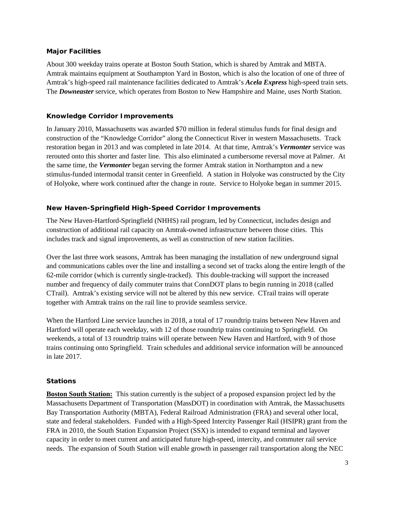# **Major Facilities**

About 300 weekday trains operate at Boston South Station, which is shared by Amtrak and MBTA. Amtrak maintains equipment at Southampton Yard in Boston, which is also the location of one of three of Amtrak's high-speed rail maintenance facilities dedicated to Amtrak's *Acela Express* high-speed train sets. The *Downeaster* service, which operates from Boston to New Hampshire and Maine, uses North Station.

### **Knowledge Corridor Improvements**

In January 2010, Massachusetts was awarded \$70 million in federal stimulus funds for final design and construction of the "Knowledge Corridor" along the Connecticut River in western Massachusetts. Track restoration began in 2013 and was completed in late 2014. At that time, Amtrak's *Vermonter* service was rerouted onto this shorter and faster line. This also eliminated a cumbersome reversal move at Palmer. At the same time, the *Vermonter* began serving the former Amtrak station in Northampton and a new stimulus-funded intermodal transit center in Greenfield. A station in Holyoke was constructed by the City of Holyoke, where work continued after the change in route. Service to Holyoke began in summer 2015.

# **New Haven-Springfield High-Speed Corridor Improvements**

The New Haven-Hartford-Springfield (NHHS) rail program, led by Connecticut, includes design and construction of additional rail capacity on Amtrak-owned infrastructure between those cities. This includes track and signal improvements, as well as construction of new station facilities.

Over the last three work seasons, Amtrak has been managing the installation of new underground signal and communications cables over the line and installing a second set of tracks along the entire length of the 62-mile corridor (which is currently single-tracked). This double-tracking will support the increased number and frequency of daily commuter trains that ConnDOT plans to begin running in 2018 (called CTrail). Amtrak's existing service will not be altered by this new service. CTrail trains will operate together with Amtrak trains on the rail line to provide seamless service.

When the Hartford Line service launches in 2018, a total of 17 roundtrip trains between New Haven and Hartford will operate each weekday, with 12 of those roundtrip trains continuing to Springfield. On weekends, a total of 13 roundtrip trains will operate between New Haven and Hartford, with 9 of those trains continuing onto Springfield. Train schedules and additional service information will be announced in late 2017.

# **Stations**

**Boston South Station:** This station currently is the subject of a proposed expansion project led by the Massachusetts Department of Transportation (MassDOT) in coordination with Amtrak, the Massachusetts Bay Transportation Authority (MBTA), Federal Railroad Administration (FRA) and several other local, state and federal stakeholders. Funded with a High-Speed Intercity Passenger Rail (HSIPR) grant from the FRA in 2010, the South Station Expansion Project (SSX) is intended to expand terminal and layover capacity in order to meet current and anticipated future high-speed, intercity, and commuter rail service needs. The expansion of South Station will enable growth in passenger rail transportation along the NEC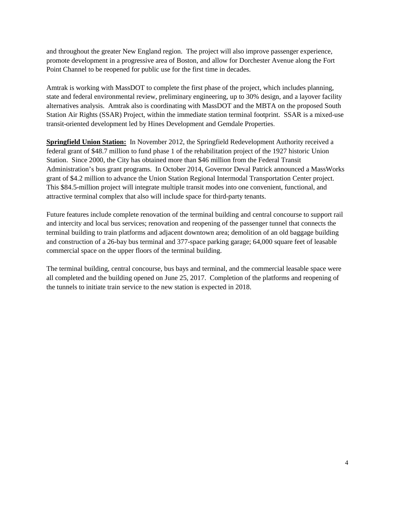and throughout the greater New England region. The project will also improve passenger experience, promote development in a progressive area of Boston, and allow for Dorchester Avenue along the Fort Point Channel to be reopened for public use for the first time in decades.

Amtrak is working with MassDOT to complete the first phase of the project, which includes planning, state and federal environmental review, preliminary engineering, up to 30% design, and a layover facility alternatives analysis. Amtrak also is coordinating with MassDOT and the MBTA on the proposed South Station Air Rights (SSAR) Project, within the immediate station terminal footprint. SSAR is a mixed-use transit-oriented development led by Hines Development and Gemdale Properties.

**Springfield Union Station:** In November 2012, the Springfield Redevelopment Authority received a federal grant of \$48.7 million to fund phase 1 of the rehabilitation project of the 1927 historic Union Station. Since 2000, the City has obtained more than \$46 million from the Federal Transit Administration's bus grant programs. In October 2014, Governor Deval Patrick announced a MassWorks grant of \$4.2 million to advance the Union Station Regional Intermodal Transportation Center project. This \$84.5-million project will integrate multiple transit modes into one convenient, functional, and attractive terminal complex that also will include space for third-party tenants.

Future features include complete renovation of the terminal building and central concourse to support rail and intercity and local bus services; renovation and reopening of the passenger tunnel that connects the terminal building to train platforms and adjacent downtown area; demolition of an old baggage building and construction of a 26-bay bus terminal and 377-space parking garage; 64,000 square feet of leasable commercial space on the upper floors of the terminal building.

The terminal building, central concourse, bus bays and terminal, and the commercial leasable space were all completed and the building opened on June 25, 2017. Completion of the platforms and reopening of the tunnels to initiate train service to the new station is expected in 2018.